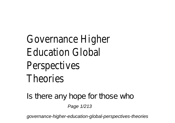Governance Hi **Education Global** Perspectiv Theorie

Is there any hope for those who Page 1/213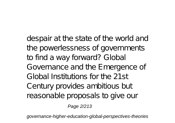despair at the state of the world and the powerlessness of governments to find a way forward? Global Governance and the Emergence of Global Institutions for the 21st Century provides ambitious but reasonable proposals to give our

Page 2/213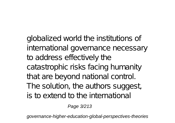globalized world the institutions of international governance necessary to address effectively the catastrophic risks facing humanity that are beyond national control. The solution, the authors suggest, is to extend to the international

Page 3/213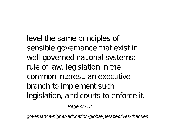level the same principles of sensible governance that exist in well-governed national systems: rule of law, legislation in the common interest, an executive branch to implement such legislation, and courts to enforce it.

Page 4/213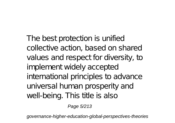The best protection is unified collective action, based on shared values and respect for diversity, to implement widely accepted international principles to advance universal human prosperity and well-being. This title is also

Page 5/213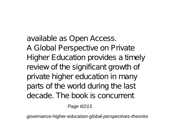available as Open Access. A Global Perspective on Private Higher Education provides a timely review of the significant growth of private higher education in many parts of the world during the last decade. The book is concurrent

Page 6/213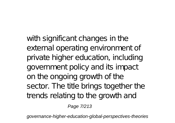with significant changes in the external operating environment of private higher education, including government policy and its impact on the ongoing growth of the sector. The title brings together the trends relating to the growth and

Page 7/213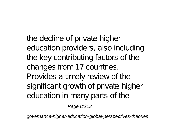the decline of private higher education providers, also including the key contributing factors of the changes from 17 countries. Provides a timely review of the significant growth of private higher education in many parts of the

Page 8/213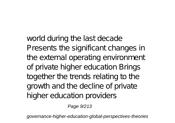world during the last decade Presents the significant changes in the external operating environment of private higher education Brings together the trends relating to the growth and the decline of private higher education providers

Page 9/213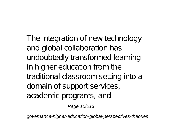The integration of new technology and global collaboration has undoubtedly transformed learning in higher education from the traditional classroom setting into a domain of support services, academic programs, and

Page 10/213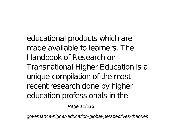educational products which are made available to learners. The Handbook of Research on Transnational Higher Education is a unique compilation of the most recent research done by higher education professionals in the

Page 11/213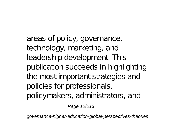areas of policy, governance, technology, marketing, and leadership development. This publication succeeds in highlighting the most important strategies and policies for professionals, policymakers, administrators, and

Page 12/213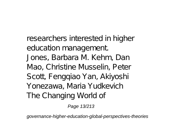researchers interested in higher education management. Jones, Barbara M. Kehm, Dan Mao, Christine Musselin, Peter Scott, Fengqiao Yan, Akiyoshi Yonezawa, Maria Yudkevich The Changing World of

Page 13/213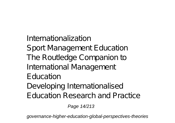Internationalization Sport Management E ducation The Routledge Companion to International Management Education Developing Internationalised Education Research and Practice

Page 14/213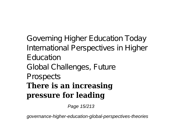Governing Higher Education Today International Perspectives in Higher Education Global Challenges, Future Prospects **There is an increasing pressure for leading**

Page 15/213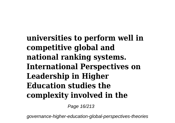**universities to perform well in competitive global and national ranking systems. International Perspectives on Leadership in Higher Education studies the complexity involved in the**

Page 16/213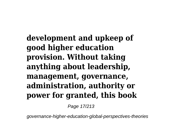**development and upkeep of good higher education provision. Without taking anything about leadership, management, governance, administration, authority or power for granted, this book**

Page 17/213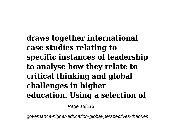**draws together international case studies relating to specific instances of leadership to analyse how they relate to critical thinking and global challenges in higher education. Using a selection of**

Page 18/213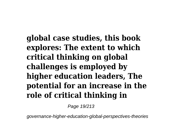**global case studies, this book explores: The extent to which critical thinking on global challenges is employed by higher education leaders, The potential for an increase in the role of critical thinking in**

Page 19/213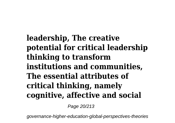**leadership, The creative potential for critical leadership thinking to transform institutions and communities, The essential attributes of critical thinking, namely cognitive, affective and social**

Page 20/213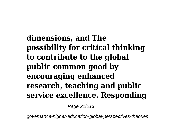**dimensions, and The possibility for critical thinking to contribute to the global public common good by encouraging enhanced research, teaching and public service excellence. Responding**

Page 21/213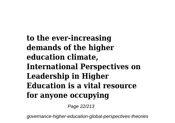**to the ever-increasing demands of the higher education climate, International Perspectives on Leadership in Higher Education is a vital resource for anyone occupying**

Page 22/213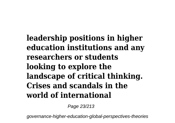**leadership positions in higher education institutions and any researchers or students looking to explore the landscape of critical thinking. Crises and scandals in the world of international**

Page 23/213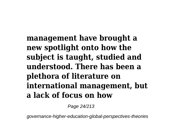**management have brought a new spotlight onto how the subject is taught, studied and understood. There has been a plethora of literature on international management, but a lack of focus on how**

Page 24/213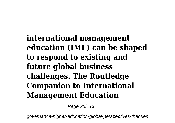**international management education (IME) can be shaped to respond to existing and future global business challenges. The Routledge Companion to International Management Education**

Page 25/213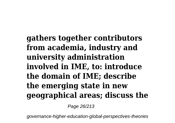**gathers together contributors from academia, industry and university administration involved in IME, to: introduce the domain of IME; describe the emerging state in new geographical areas; discuss the**

Page 26/213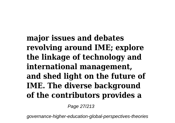**major issues and debates revolving around IME; explore the linkage of technology and international management, and shed light on the future of IME. The diverse background of the contributors provides a**

Page 27/213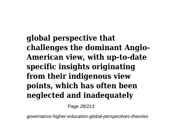**global perspective that challenges the dominant Anglo-American view, with up-to-date specific insights originating from their indigenous view points, which has often been neglected and inadequately**

Page 28/213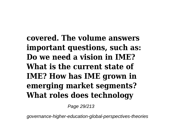**covered. The volume answers important questions, such as: Do we need a vision in IME? What is the current state of IME? How has IME grown in emerging market segments? What roles does technology**

Page 29/213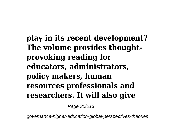**play in its recent development? The volume provides thoughtprovoking reading for educators, administrators, policy makers, human resources professionals and researchers. It will also give**

Page 30/213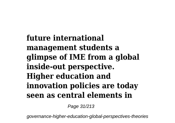**future international management students a glimpse of IME from a global inside-out perspective. Higher education and innovation policies are today seen as central elements in**

Page 31/213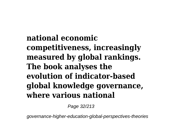**national economic competitiveness, increasingly measured by global rankings. The book analyses the evolution of indicator-based global knowledge governance, where various national**

Page 32/213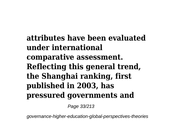**attributes have been evaluated under international comparative assessment. Reflecting this general trend, the Shanghai ranking, first published in 2003, has pressured governments and**

Page 33/213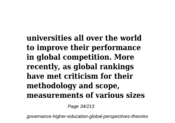**universities all over the world to improve their performance in global competition. More recently, as global rankings have met criticism for their methodology and scope, measurements of various sizes**

Page 34/213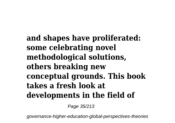**and shapes have proliferated: some celebrating novel methodological solutions, others breaking new conceptual grounds. This book takes a fresh look at developments in the field of**

Page 35/213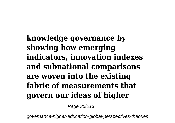**knowledge governance by showing how emerging indicators, innovation indexes and subnational comparisons are woven into the existing fabric of measurements that govern our ideas of higher**

Page 36/213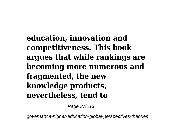**education, innovation and competitiveness. This book argues that while rankings are becoming more numerous and fragmented, the new knowledge products, nevertheless, tend to**

Page 37/213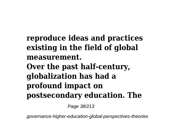#### **reproduce ideas and practices existing in the field of global measurement. Over the past half-century, globalization has had a profound impact on postsecondary education. The**

Page 38/213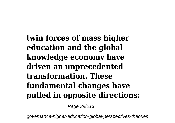**twin forces of mass higher education and the global knowledge economy have driven an unprecedented transformation. These fundamental changes have pulled in opposite directions:**

Page 39/213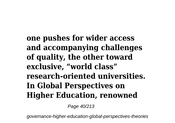**one pushes for wider access and accompanying challenges of quality, the other toward exclusive, "world class" research-oriented universities. In Global Perspectives on Higher Education, renowned**

Page 40/213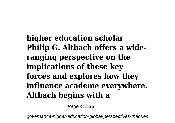# **higher education scholar Philip G. Altbach offers a wideranging perspective on the implications of these key forces and explores how they influence academe everywhere. Altbach begins with a**

Page 41/213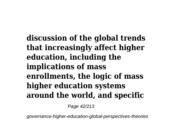**discussion of the global trends that increasingly affect higher education, including the implications of mass enrollments, the logic of mass higher education systems around the world, and specific**

Page 42/213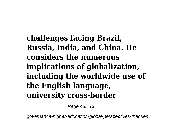**challenges facing Brazil, Russia, India, and China. He considers the numerous implications of globalization, including the worldwide use of the English language, university cross-border**

Page 43/213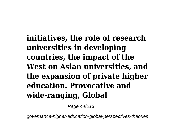**initiatives, the role of research universities in developing countries, the impact of the West on Asian universities, and the expansion of private higher education. Provocative and wide-ranging, Global**

Page 44/213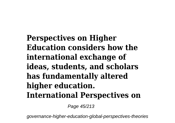**Perspectives on Higher Education considers how the international exchange of ideas, students, and scholars has fundamentally altered higher education. International Perspectives on**

Page 45/213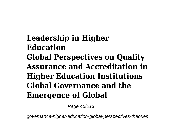**Leadership in Higher Education Global Perspectives on Quality Assurance and Accreditation in Higher Education Institutions Global Governance and the Emergence of Global**

Page 46/213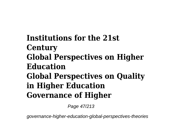**Institutions for the 21st Century Global Perspectives on Higher Education Global Perspectives on Quality in Higher Education Governance of Higher**

Page 47/213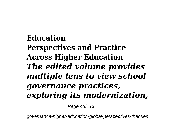# **Education Perspectives and Practice Across Higher Education** *The edited volume provides multiple lens to view school governance practices, exploring its modernization,*

Page 48/213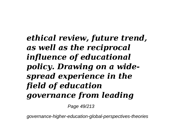# *ethical review, future trend, as well as the reciprocal influence of educational policy. Drawing on a widespread experience in the field of education governance from leading*

Page 49/213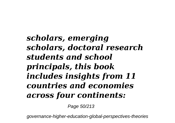## *scholars, emerging scholars, doctoral research students and school principals, this book includes insights from 11 countries and economies across four continents:*

Page 50/213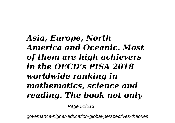# *Asia, Europe, North America and Oceanic. Most of them are high achievers in the OECD's PISA 2018 worldwide ranking in mathematics, science and reading. The book not only*

Page 51/213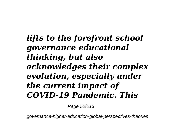#### *lifts to the forefront school governance educational thinking, but also acknowledges their complex evolution, especially under the current impact of COVID-19 Pandemic. This*

Page 52/213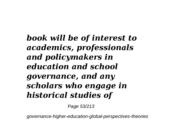*book will be of interest to academics, professionals and policymakers in education and school governance, and any scholars who engage in historical studies of*

Page 53/213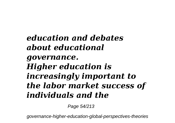## *education and debates about educational governance. Higher education is increasingly important to the labor market success of individuals and the*

Page 54/213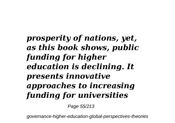# *prosperity of nations, yet, as this book shows, public funding for higher education is declining. It presents innovative approaches to increasing funding for universities*

Page 55/213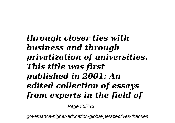# *through closer ties with business and through privatization of universities. This title was first published in 2001: An edited collection of essays from experts in the field of*

Page 56/213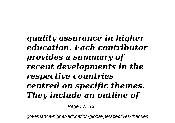# *quality assurance in higher education. Each contributor provides a summary of recent developments in the respective countries centred on specific themes. They include an outline of*

Page 57/213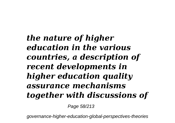# *the nature of higher education in the various countries, a description of recent developments in higher education quality assurance mechanisms together with discussions of*

Page 58/213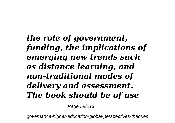# *the role of government, funding, the implications of emerging new trends such as distance learning, and non-traditional modes of delivery and assessment. The book should be of use*

Page 59/213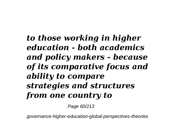# *to those working in higher education - both academics and policy makers - because of its comparative focus and ability to compare strategies and structures from one country to*

Page 60/213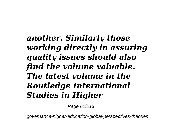# *another. Similarly those working directly in assuring quality issues should also find the volume valuable. The latest volume in the Routledge International Studies in Higher*

Page 61/213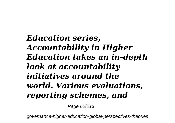*Education series, Accountability in Higher Education takes an in-depth look at accountability initiatives around the world. Various evaluations, reporting schemes, and*

Page 62/213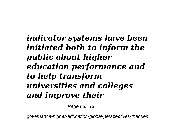## *indicator systems have been initiated both to inform the public about higher education performance and to help transform universities and colleges and improve their*

Page 63/213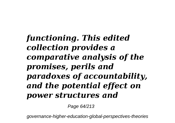*functioning. This edited collection provides a comparative analysis of the promises, perils and paradoxes of accountability, and the potential effect on power structures and*

Page 64/213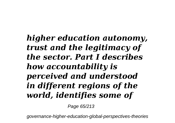# *higher education autonomy, trust and the legitimacy of the sector. Part I describes how accountability is perceived and understood in different regions of the world, identifies some of*

Page 65/213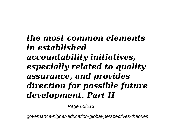## *the most common elements in established accountability initiatives, especially related to quality assurance, and provides direction for possible future development. Part II*

Page 66/213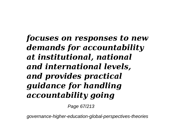*focuses on responses to new demands for accountability at institutional, national and international levels, and provides practical guidance for handling accountability going*

Page 67/213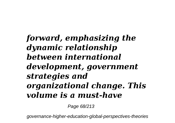### *forward, emphasizing the dynamic relationship between international development, government strategies and organizational change. This volume is a must-have*

Page 68/213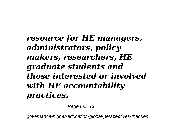## *resource for HE managers, administrators, policy makers, researchers, HE graduate students and those interested or involved with HE accountability practices.*

Page 69/213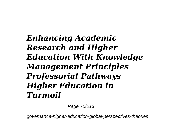# *Enhancing Academic Research and Higher Education With Knowledge Management Principles Professorial Pathways Higher Education in Turmoil*

Page 70/213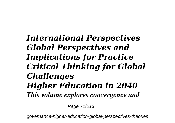#### *International Perspectives Global Perspectives and Implications for Practice Critical Thinking for Global Challenges Higher Education in 2040 This volume explores convergence and*

Page 71/213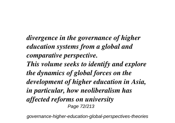*divergence in the governance of higher education systems from a global and comparative perspective. This volume seeks to identify and explore the dynamics of global forces on the development of higher education in Asia, in particular, how neoliberalism has affected reforms on university* Page 72/213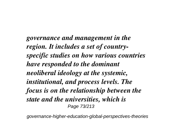*governance and management in the region. It includes a set of countryspecific studies on how various countries have responded to the dominant neoliberal ideology at the systemic, institutional, and process levels. The focus is on the relationship between the state and the universities, which is* Page 73/213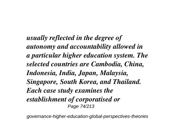*usually reflected in the degree of autonomy and accountability allowed in a particular higher education system. The selected countries are Cambodia, China, Indonesia, India, Japan, Malaysia, Singapore, South Korea, and Thailand. Each case study examines the establishment of corporatised or* Page 74/213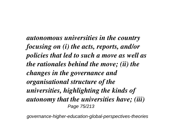*autonomous universities in the country focusing on (i) the acts, reports, and/or policies that led to such a move as well as the rationales behind the move; (ii) the changes in the governance and organisational structure of the universities, highlighting the kinds of autonomy that the universities have; (iii)* Page 75/213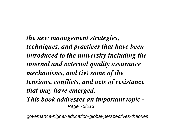*the new management strategies, techniques, and practices that have been introduced to the university including the internal and external quality assurance mechanisms, and (iv) some of the tensions, conflicts, and acts of resistance that may have emerged. This book addresses an important topic -* Page 76/213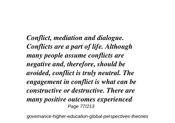*Conflict, mediation and dialogue. Conflicts are a part of life. Although many people assume conflicts are negative and, therefore, should be avoided, conflict is truly neutral. The engagement in conflict is what can be constructive or destructive. There are many positive outcomes experienced* Page 77/213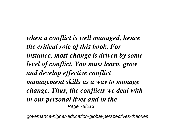*when a conflict is well managed, hence the critical role of this book. For instance, most change is driven by some level of conflict. You must learn, grow and develop effective conflict management skills as a way to manage change. Thus, the conflicts we deal with in our personal lives and in the* Page 78/213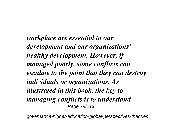*workplace are essential to our development and our organizations' healthy development. However, if managed poorly, some conflicts can escalate to the point that they can destroy individuals or organizations. As illustrated in this book, the key to managing conflicts is to understand* Page 79/213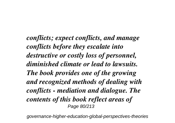*conflicts; expect conflicts, and manage conflicts before they escalate into destructive or costly loss of personnel, diminished climate or lead to lawsuits. The book provides one of the growing and recognized methods of dealing with conflicts - mediation and dialogue. The contents of this book reflect areas of* Page 80/213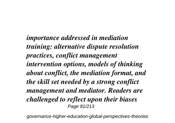*importance addressed in mediation training: alternative dispute resolution practices, conflict management intervention options, models of thinking about conflict, the mediation format, and the skill set needed by a strong conflict management and mediator. Readers are challenged to reflect upon their biases* Page 81/213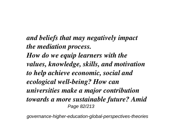*and beliefs that may negatively impact the mediation process. How do we equip learners with the values, knowledge, skills, and motivation to help achieve economic, social and ecological well-being? How can universities make a major contribution towards a more sustainable future? Amid* Page 82/213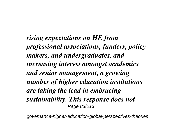*rising expectations on HE from professional associations, funders, policy makers, and undergraduates, and increasing interest amongst academics and senior management, a growing number of higher education institutions are taking the lead in embracing sustainability. This response does not* Page 83/213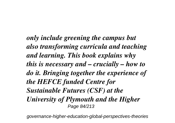*only include greening the campus but also transforming curricula and teaching and learning. This book explains why this is necessary and – crucially – how to do it. Bringing together the experience of the HEFCE funded Centre for Sustainable Futures (CSF) at the University of Plymouth and the Higher* Page 84/213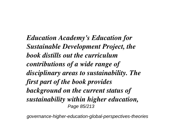*Education Academy's Education for Sustainable Development Project, the book distills out the curriculum contributions of a wide range of disciplinary areas to sustainability. The first part of the book provides background on the current status of sustainability within higher education,* Page 85/213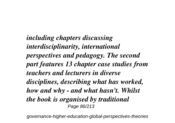*including chapters discussing interdisciplinarity, international perspectives and pedagogy. The second part features 13 chapter case studies from teachers and lecturers in diverse disciplines, describing what has worked, how and why - and what hasn't. Whilst the book is organised by traditional* Page 86/213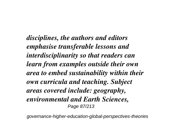*disciplines, the authors and editors emphasise transferable lessons and interdisciplinarity so that readers can learn from examples outside their own area to embed sustainability within their own curricula and teaching. Subject areas covered include: geography, environmental and Earth Sciences,* Page 87/213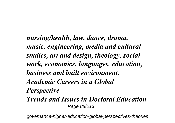*nursing/health, law, dance, drama, music, engineering, media and cultural studies, art and design, theology, social work, economics, languages, education, business and built environment. Academic Careers in a Global Perspective Trends and Issues in Doctoral Education* Page 88/213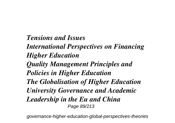*Tensions and Issues International Perspectives on Financing Higher Education Quality Management Principles and Policies in Higher Education The Globalisation of Higher Education University Governance and Academic Leadership in the Eu and China* Page 89/213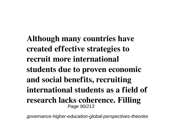**Although many countries have created effective strategies to recruit more international students due to proven economic and social benefits, recruiting international students as a field of research lacks coherence. Filling** Page 90/213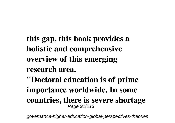- **this gap, this book provides a holistic and comprehensive overview of this emerging research area.**
- **"Doctoral education is of prime importance worldwide. In some countries, there is severe shortage** Page 91/213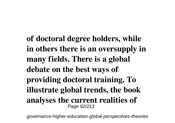**of doctoral degree holders, while in others there is an oversupply in many fields. There is a global debate on the best ways of providing doctoral training. To illustrate global trends, the book analyses the current realities of** Page 92/213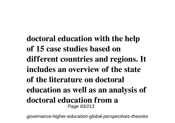**doctoral education with the help of 15 case studies based on different countries and regions. It includes an overview of the state of the literature on doctoral education as well as an analysis of doctoral education from a** Page 93/213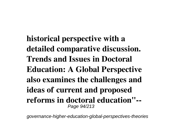**historical perspective with a detailed comparative discussion. Trends and Issues in Doctoral Education: A Global Perspective also examines the challenges and ideas of current and proposed reforms in doctoral education"--** Page 94/213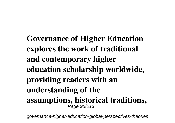**Governance of Higher Education explores the work of traditional and contemporary higher education scholarship worldwide, providing readers with an understanding of the assumptions, historical traditions,** Page 95/213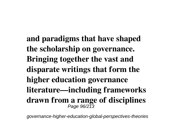**and paradigms that have shaped the scholarship on governance. Bringing together the vast and disparate writings that form the higher education governance literature—including frameworks drawn from a range of disciplines** Page 96/213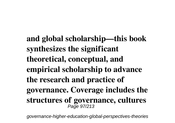**and global scholarship—this book synthesizes the significant theoretical, conceptual, and empirical scholarship to advance the research and practice of governance. Coverage includes the structures of governance, cultures** Page 97/213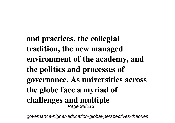**and practices, the collegial tradition, the new managed environment of the academy, and the politics and processes of governance. As universities across the globe face a myriad of challenges and multiple** Page 98/213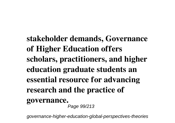**stakeholder demands, Governance of Higher Education offers scholars, practitioners, and higher education graduate students an essential resource for advancing research and the practice of governance.** Page 99/213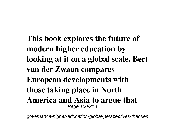**This book explores the future of modern higher education by looking at it on a global scale. Bert van der Zwaan compares European developments with those taking place in North America and Asia to argue that** Page 100/213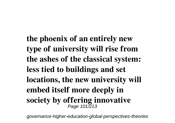**the phoenix of an entirely new type of university will rise from the ashes of the classical system: less tied to buildings and set locations, the new university will embed itself more deeply in society by offering innovative** Page 101/213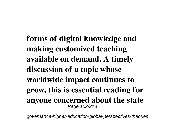**forms of digital knowledge and making customized teaching available on demand. A timely discussion of a topic whose worldwide impact continues to grow, this is essential reading for anyone concerned about the state** Page 102/213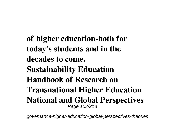**of higher education-both for today's students and in the decades to come. Sustainability Education Handbook of Research on Transnational Higher Education National and Global Perspectives** Page 103/213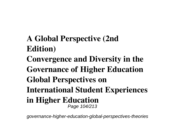- **A Global Perspective (2nd Edition)**
- **Convergence and Diversity in the Governance of Higher Education Global Perspectives on International Student Experiences in Higher Education** Page 104/213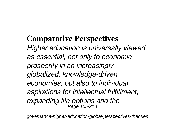## **Comparative Perspectives**

*Higher education is universally viewed as essential, not only to economic prosperity in an increasingly globalized, knowledge-driven economies, but also to individual aspirations for intellectual fulfillment, expanding life options and the* Page 105/213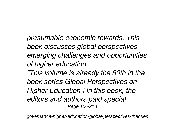*presumable economic rewards. This book discusses global perspectives, emerging challenges and opportunities of higher education.*

*"This volume is already the 50th in the book series Global Perspectives on Higher Education ! In this book, the editors and authors paid special* Page 106/213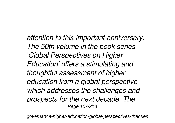*attention to this important anniversary. The 50th volume in the book series 'Global Perspectives on Higher Education' offers a stimulating and thoughtful assessment of higher education from a global perspective which addresses the challenges and prospects for the next decade. The* Page 107/213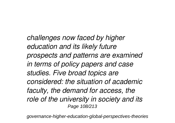*challenges now faced by higher education and its likely future prospects and patterns are examined in terms of policy papers and case studies. Five broad topics are considered: the situation of academic faculty, the demand for access, the role of the university in society and its* Page 108/213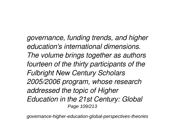*governance, funding trends, and higher education's international dimensions. The volume brings together as authors fourteen of the thirty participants of the Fulbright New Century Scholars 2005/2006 program, whose research addressed the topic of Higher Education in the 21st Century: Global* Page 109/213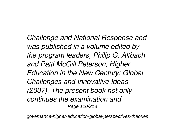*Challenge and National Response and was published in a volume edited by the program leaders, Philip G. Altbach and Patti McGill Peterson, Higher Education in the New Century: Global Challenges and Innovative Ideas (2007). The present book not only continues the examination and* Page 110/213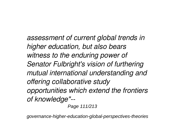*assessment of current global trends in higher education, but also bears witness to the enduring power of Senator Fulbright's vision of furthering mutual international understanding and offering collaborative study opportunities which extend the frontiers of knowledge"--*

Page 111/213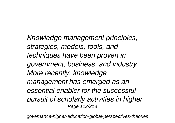*Knowledge management principles, strategies, models, tools, and techniques have been proven in government, business, and industry. More recently, knowledge management has emerged as an essential enabler for the successful pursuit of scholarly activities in higher* Page 112/213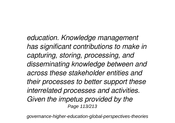*education. Knowledge management has significant contributions to make in capturing, storing, processing, and disseminating knowledge between and across these stakeholder entities and their processes to better support these interrelated processes and activities. Given the impetus provided by the* Page 113/213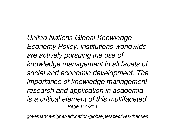*United Nations Global Knowledge Economy Policy, institutions worldwide are actively pursuing the use of knowledge management in all facets of social and economic development. The importance of knowledge management research and application in academia is a critical element of this multifaceted* Page 114/213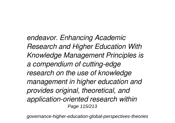*endeavor. Enhancing Academic Research and Higher Education With Knowledge Management Principles is a compendium of cutting-edge research on the use of knowledge management in higher education and provides original, theoretical, and application-oriented research within* Page 115/213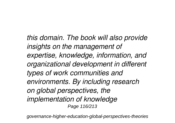*this domain. The book will also provide insights on the management of expertise, knowledge, information, and organizational development in different types of work communities and environments. By including research on global perspectives, the implementation of knowledge* Page 116/213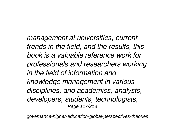*management at universities, current trends in the field, and the results, this book is a valuable reference work for professionals and researchers working in the field of information and knowledge management in various disciplines, and academics, analysts, developers, students, technologists,* Page 117/213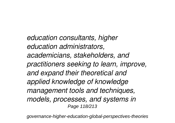*education consultants, higher education administrators, academicians, stakeholders, and practitioners seeking to learn, improve, and expand their theoretical and applied knowledge of knowledge management tools and techniques, models, processes, and systems in* Page 118/213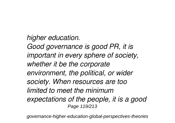*higher education. Good governance is good PR, it is important in every sphere of society, whether it be the corporate environment, the political, or wider society. When resources are too limited to meet the minimum expectations of the people, it is a good* Page 119/213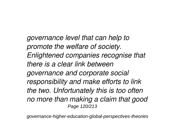*governance level that can help to promote the welfare of society. Enlightened companies recognise that there is a clear link between governance and corporate social responsibility and make efforts to link the two. Unfortunately this is too often no more than making a claim that good* Page 120/213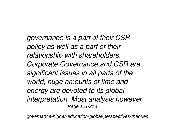*governance is a part of their CSR policy as well as a part of their relationship with shareholders. Corporate Governance and CSR are significant issues in all parts of the world, huge amounts of time and energy are devoted to its global interpretation. Most analysis however* Page 121/213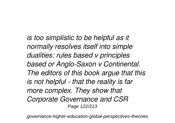*is too simplistic to be helpful as it normally resolves itself into simple dualities: rules based v principles based or Anglo-Saxon v Continental. The editors of this book argue that this is not helpful - that the reality is far more complex. They show that Corporate Governance and CSR* Page 122/213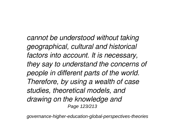*cannot be understood without taking geographical, cultural and historical factors into account. It is necessary, they say to understand the concerns of people in different parts of the world. Therefore, by using a wealth of case studies, theoretical models, and drawing on the knowledge and* Page 123/213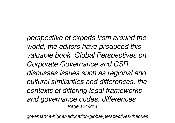*perspective of experts from around the world, the editors have produced this valuable book. Global Perspectives on Corporate Governance and CSR discusses issues such as regional and cultural similarities and differences, the contexts of differing legal frameworks and governance codes, differences* Page 124/213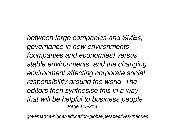*between large companies and SMEs, governance in new environments (companies and economies) versus stable environments, and the changing environment affecting corporate social responsibility around the world. The editors then synthesise this in a way that will be helpful to business people* Page 125/213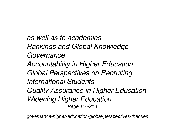*as well as to academics. Rankings and Global Knowledge Governance Accountability in Higher Education Global Perspectives on Recruiting International Students Quality Assurance in Higher Education Widening Higher Education* Page 126/213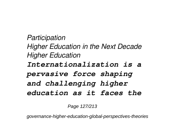*Participation Higher Education in the Next Decade Higher Education Internationalization is a pervasive force shaping and challenging higher education as it faces the*

Page 127/213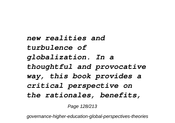*new realities and turbulence of globalization. In a thoughtful and provocative way, this book provides a critical perspective on the rationales, benefits,*

Page 128/213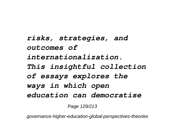*risks, strategies, and outcomes of internationalization. This insightful collection of essays explores the ways in which open education can democratise*

Page 129/213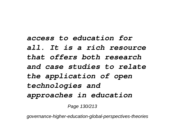## *access to education for all. It is a rich resource that offers both research and case studies to relate the application of open technologies and approaches in education*

Page 130/213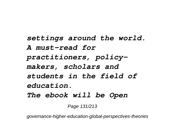*settings around the world. A must-read for practitioners, policymakers, scholars and students in the field of education. The ebook will be Open*

Page 131/213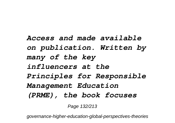*Access and made available on publication. Written by many of the key influencers at the Principles for Responsible Management Education (PRME), the book focuses*

Page 132/213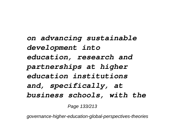*on advancing sustainable development into education, research and partnerships at higher education institutions and, specifically, at business schools, with the*

Page 133/213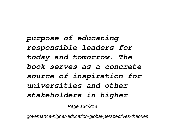*purpose of educating responsible leaders for today and tomorrow. The book serves as a concrete source of inspiration for universities and other stakeholders in higher*

Page 134/213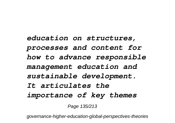*education on structures, processes and content for how to advance responsible management education and sustainable development. It articulates the importance of key themes*

Page 135/213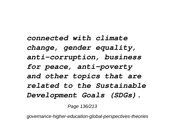*connected with climate change, gender equality, anti-corruption, business for peace, anti-poverty and other topics that are related to the Sustainable Development Goals (SDGs).*

Page 136/213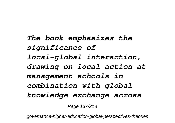*The book emphasizes the significance of local–global interaction, drawing on local action at management schools in combination with global knowledge exchange across*

Page 137/213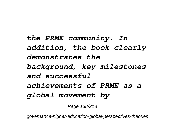*the PRME community. In addition, the book clearly demonstrates the background, key milestones and successful achievements of PRME as a global movement by*

Page 138/213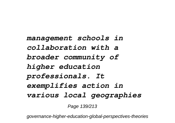*management schools in collaboration with a broader community of higher education professionals. It exemplifies action in various local geographies*

Page 139/213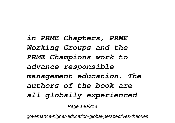*in PRME Chapters, PRME Working Groups and the PRME Champions work to advance responsible management education. The authors of the book are all globally experienced*

Page 140/213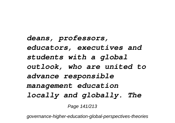*deans, professors, educators, executives and students with a global outlook, who are united to advance responsible management education locally and globally. The*

Page 141/213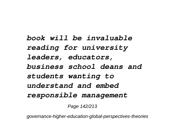*book will be invaluable reading for university leaders, educators, business school deans and students wanting to understand and embed responsible management*

Page 142/213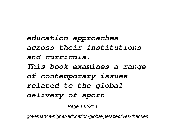*education approaches across their institutions and curricula. This book examines a range of contemporary issues related to the global delivery of sport*

Page 143/213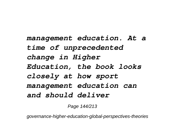*management education. At a time of unprecedented change in Higher Education, the book looks closely at how sport management education can and should deliver*

Page 144/213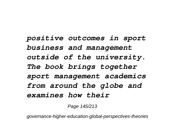*positive outcomes in sport business and management outside of the university. The book brings together sport management academics from around the globe and examines how their*

Page 145/213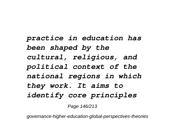*practice in education has been shaped by the cultural, religious, and political context of the national regions in which they work. It aims to identify core principles*

Page 146/213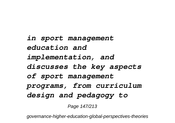*in sport management education and implementation, and discusses the key aspects of sport management programs, from curriculum design and pedagogy to*

Page 147/213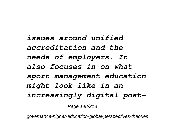*issues around unified accreditation and the needs of employers. It also focuses in on what sport management education might look like in an increasingly digital post-*

Page 148/213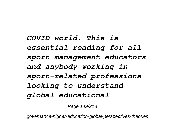*COVID world. This is essential reading for all sport management educators and anybody working in sport-related professions looking to understand global educational*

Page 149/213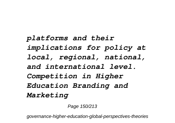*platforms and their implications for policy at local, regional, national, and international level. Competition in Higher Education Branding and Marketing*

Page 150/213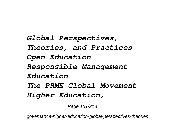*Global Perspectives, Theories, and Practices Open Education Responsible Management Education The PRME Global Movement Higher Education,*

Page 151/213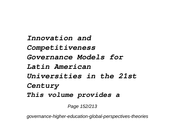*Innovation and Competitiveness Governance Models for Latin American Universities in the 21st Century This volume provides a*

Page 152/213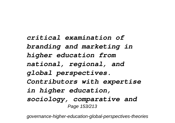*critical examination of branding and marketing in higher education from national, regional, and global perspectives. Contributors with expertise in higher education, sociology, comparative and* Page 153/213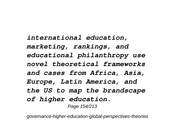*international education, marketing, rankings, and educational philanthropy use novel theoretical frameworks and cases from Africa, Asia, Europe, Latin America, and the US to map the brandscape of higher education.* Page 154/213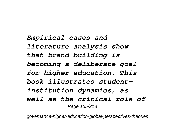*Empirical cases and literature analysis show that brand building is becoming a deliberate goal for higher education. This book illustrates studentinstitution dynamics, as well as the critical role of* Page 155/213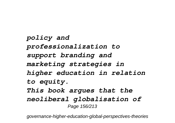*policy and professionalization to support branding and marketing strategies in higher education in relation to equity. This book argues that the neoliberal globalisation of* Page 156/213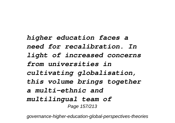*higher education faces a need for recalibration. In light of increased concerns from universities in cultivating globalisation, this volume brings together a multi-ethnic and multilingual team of* Page 157/213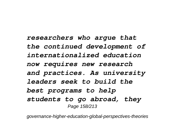*researchers who argue that the continued development of internationalized education now requires new research and practices. As university leaders seek to build the best programs to help students to go abroad, they* Page 158/213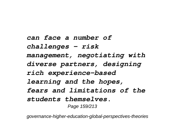*can face a number of challenges – risk management, negotiating with diverse partners, designing rich experience-based learning and the hopes, fears and limitations of the students themselves.* Page 159/213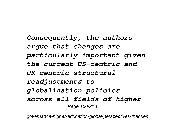*Consequently, the authors argue that changes are particularly important given the current US-centric and UK-centric structural readjustments to globalization policies across all fields of higher* Page 160/213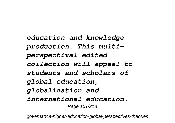*education and knowledge production. This multiperspectival edited collection will appeal to students and scholars of global education, globalization and international education.* Page 161/213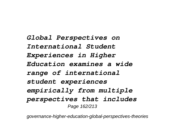*Global Perspectives on International Student Experiences in Higher Education examines a wide range of international student experiences empirically from multiple perspectives that includes* Page 162/213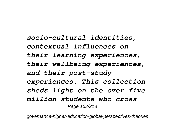*socio-cultural identities, contextual influences on their learning experiences, their wellbeing experiences, and their post-study experiences. This collection sheds light on the over five million students who cross* Page 163/213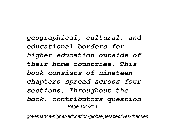*geographical, cultural, and educational borders for higher education outside of their home countries. This book consists of nineteen chapters spread across four sections. Throughout the book, contributors question* Page 164/213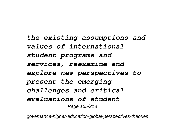*the existing assumptions and values of international student programs and services, reexamine and explore new perspectives to present the emerging challenges and critical evaluations of student* Page 165/213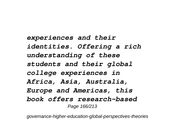*experiences and their identities. Offering a rich understanding of these students and their global college experiences in Africa, Asia, Australia, Europe and Americas, this book offers research-based* Page 166/213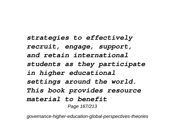*strategies to effectively recruit, engage, support, and retain international students as they participate in higher educational settings around the world. This book provides resource material to benefit* Page 167/213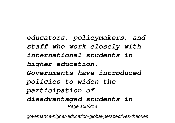*educators, policymakers, and staff who work closely with international students in higher education. Governments have introduced policies to widen the participation of disadvantaged students in* Page 168/213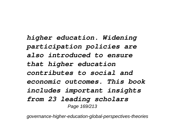*higher education. Widening participation policies are also introduced to ensure that higher education contributes to social and economic outcomes. This book includes important insights from 23 leading scholars* Page 169/213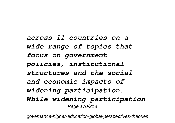*across 11 countries on a wide range of topics that focus on government policies, institutional structures and the social and economic impacts of widening participation. While widening participation* Page 170/213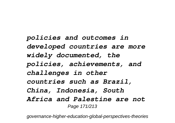*policies and outcomes in developed countries are more widely documented, the policies, achievements, and challenges in other countries such as Brazil, China, Indonesia, South Africa and Palestine are not* Page 171/213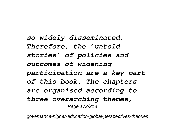*so widely disseminated. Therefore, the 'untold stories' of policies and outcomes of widening participation are a key part of this book. The chapters are organised according to three overarching themes,* Page 172/213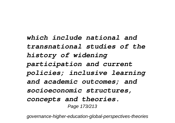*which include national and transnational studies of the history of widening participation and current policies; inclusive learning and academic outcomes; and socioeconomic structures, concepts and theories.* Page 173/213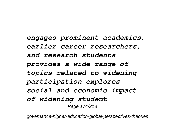*engages prominent academics, earlier career researchers, and research students provides a wide range of topics related to widening participation explores social and economic impact of widening student* Page 174/213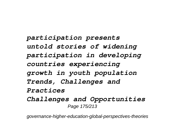*participation presents untold stories of widening participation in developing countries experiencing growth in youth population Trends, Challenges and Practices Challenges and Opportunities* Page 175/213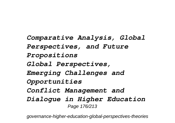*Comparative Analysis, Global Perspectives, and Future Propositions Global Perspectives, Emerging Challenges and Opportunities Conflict Management and Dialogue in Higher Education* Page 176/213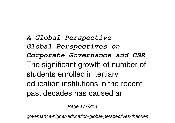*A Global Perspective Global Perspectives on Corporate Governance and CSR* The significant growth of number of students enrolled in tertiary education institutions in the recent past decades has caused an

Page 177/213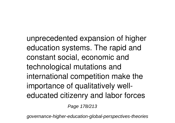unprecedented expansion of higher education systems. The rapid and constant social, economic and technological mutations and international competition make the importance of qualitatively welleducated citizenry and labor forces

Page 178/213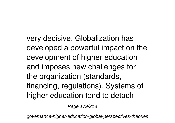very decisive. Globalization has developed a powerful impact on the development of higher education and imposes new challenges for the organization (standards, financing, regulations). Systems of higher education tend to detach

Page 179/213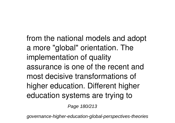from the national models and adopt a more "global" orientation. The implementation of quality assurance is one of the recent and most decisive transformations of higher education. Different higher education systems are trying to

Page 180/213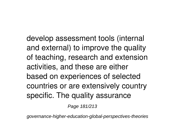develop assessment tools (internal and external) to improve the quality of teaching, research and extension activities, and these are either based on experiences of selected countries or are extensively country specific. The quality assurance

Page 181/213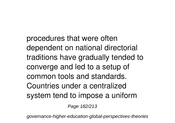procedures that were often dependent on national directorial traditions have gradually tended to converge and led to a setup of common tools and standards. Countries under a centralized system tend to impose a uniform

Page 182/213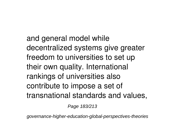and general model while decentralized systems give greater freedom to universities to set up their own quality. International rankings of universities also contribute to impose a set of transnational standards and values,

Page 183/213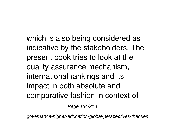which is also being considered as indicative by the stakeholders. The present book tries to look at the quality assurance mechanism, international rankings and its impact in both absolute and comparative fashion in context of

Page 184/213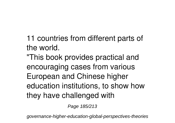11 countries from different parts of the world. "This book provides practical and encouraging cases from various European and Chinese higher education institutions, to show how they have challenged with

Page 185/213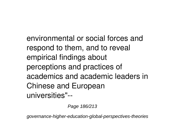environmental or social forces and respond to them, and to reveal empirical findings about perceptions and practices of academics and academic leaders in Chinese and European universities"--

Page 186/213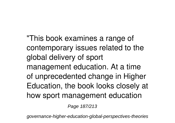"This book examines a range of contemporary issues related to the global delivery of sport management education. At a time of unprecedented change in Higher Education, the book looks closely at how sport management education

Page 187/213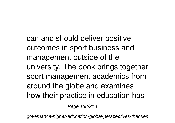can and should deliver positive outcomes in sport business and management outside of the university. The book brings together sport management academics from around the globe and examines how their practice in education has

Page 188/213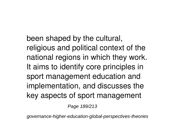been shaped by the cultural, religious and political context of the national regions in which they work. It aims to identify core principles in sport management education and implementation, and discusses the key aspects of sport management

Page 189/213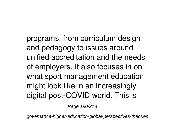programs, from curriculum design and pedagogy to issues around unified accreditation and the needs of employers. It also focuses in on what sport management education might look like in an increasingly digital post-COVID world. This is

Page 190/213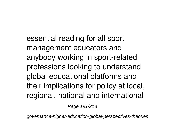essential reading for all sport management educators and anybody working in sport-related professions looking to understand global educational platforms and their implications for policy at local, regional, national and international

Page 191/213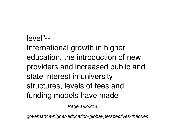## level"-- International growth in higher education, the introduction of new providers and increased public and state interest in university structures, levels of fees and funding models have made

Page 192/213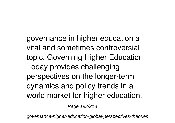governance in higher education a vital and sometimes controversial topic. Governing Higher Education Today provides challenging perspectives on the longer-term dynamics and policy trends in a world market for higher education.

Page 193/213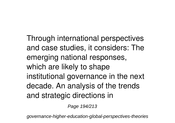Through international perspectives and case studies, it considers: The emerging national responses, which are likely to shape institutional governance in the next decade. An analysis of the trends and strategic directions in

Page 194/213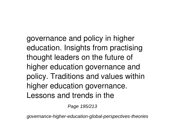governance and policy in higher education. Insights from practising thought leaders on the future of higher education governance and policy. Traditions and values within higher education governance. Lessons and trends in the

Page 195/213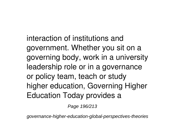interaction of institutions and government. Whether you sit on a governing body, work in a university leadership role or in a governance or policy team, teach or study higher education, Governing Higher Education Today provides a

Page 196/213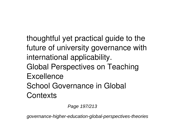thoughtful yet practical guide to the future of university governance with international applicability. Global Perspectives on Teaching **Excellence** School Governance in Global **Contexts** 

Page 197/213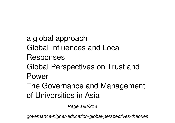a global approach Global Influences and Local Responses Global Perspectives on Trust and Power The Governance and Management of Universities in Asia

Page 198/213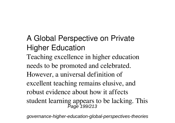A Global Perspective on Private Higher Education Teaching excellence in higher education needs to be promoted and celebrated. However, a universal definition of excellent teaching remains elusive, and robust evidence about how it affects student learning appears to be lacking. This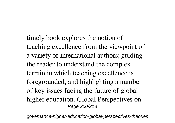timely book explores the notion of teaching excellence from the viewpoint of a variety of international authors; guiding the reader to understand the complex terrain in which teaching excellence is foregrounded, and highlighting a number of key issues facing the future of global higher education. Global Perspectives on Page 200/213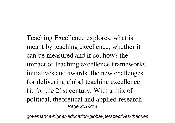Teaching Excellence explores: what is meant by teaching excellence, whether it can be measured and if so, how? the impact of teaching excellence frameworks, initiatives and awards. the new challenges for delivering global teaching excellence fit for the 21st century. With a mix of political, theoretical and applied research Page 201/213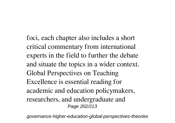foci, each chapter also includes a short critical commentary from international experts in the field to further the debate and situate the topics in a wider context. Global Perspectives on Teaching Excellence is essential reading for academic and education policymakers, researchers, and undergraduate and Page 202/213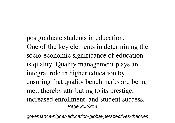postgraduate students in education. One of the key elements in determining the socio-economic significance of education is quality. Quality management plays an integral role in higher education by ensuring that quality benchmarks are being met, thereby attributing to its prestige, increased enrollment, and student success. Page 203/213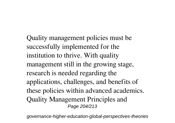Quality management policies must be successfully implemented for the institution to thrive. With quality management still in the growing stage, research is needed regarding the applications, challenges, and benefits of these policies within advanced academics. Quality Management Principles and Page 204/213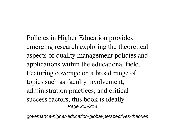Policies in Higher Education provides emerging research exploring the theoretical aspects of quality management policies and applications within the educational field. Featuring coverage on a broad range of topics such as faculty involvement, administration practices, and critical success factors, this book is ideally Page 205/213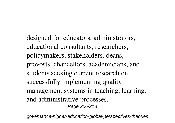designed for educators, administrators, educational consultants, researchers, policymakers, stakeholders, deans, provosts, chancellors, academicians, and students seeking current research on successfully implementing quality management systems in teaching, learning, and administrative processes. Page 206/213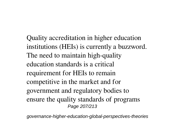Quality accreditation in higher education institutions (HEIs) is currently a buzzword. The need to maintain high-quality education standards is a critical requirement for HEIs to remain competitive in the market and for government and regulatory bodies to ensure the quality standards of programs Page 207/213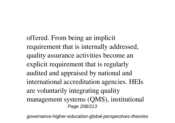offered. From being an implicit requirement that is internally addressed, quality assurance activities become an explicit requirement that is regularly audited and appraised by national and international accreditation agencies. HEIs are voluntarily integrating quality management systems (QMS), institutional Page 208/213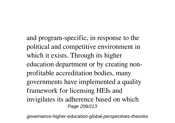and program-specific, in response to the political and competitive environment in which it exists. Through its higher education department or by creating nonprofitable accreditation bodies, many governments have implemented a quality framework for licensing HEIs and invigilates its adherence based on which Page 209/213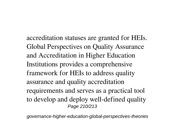accreditation statuses are granted for HEIs. Global Perspectives on Quality Assurance and Accreditation in Higher Education Institutions provides a comprehensive framework for HEIs to address quality assurance and quality accreditation requirements and serves as a practical tool to develop and deploy well-defined quality Page 210/213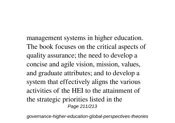management systems in higher education. The book focuses on the critical aspects of quality assurance; the need to develop a concise and agile vision, mission, values, and graduate attributes; and to develop a system that effectively aligns the various activities of the HEI to the attainment of the strategic priorities listed in the Page 211/213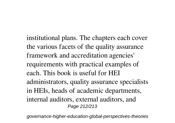institutional plans. The chapters each cover the various facets of the quality assurance framework and accreditation agencies' requirements with practical examples of each. This book is useful for HEI administrators, quality assurance specialists in HEIs, heads of academic departments, internal auditors, external auditors, and Page 212/213